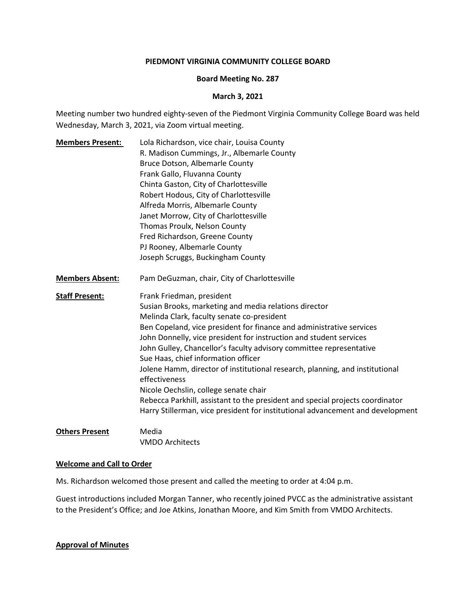### **PIEDMONT VIRGINIA COMMUNITY COLLEGE BOARD**

### **Board Meeting No. 287**

### **March 3, 2021**

Meeting number two hundred eighty-seven of the Piedmont Virginia Community College Board was held Wednesday, March 3, 2021, via Zoom virtual meeting.

**Members Present:** Lola Richardson, vice chair, Louisa County R. Madison Cummings, Jr., Albemarle County Bruce Dotson, Albemarle County Frank Gallo, Fluvanna County Chinta Gaston, City of Charlottesville Robert Hodous, City of Charlottesville Alfreda Morris, Albemarle County Janet Morrow, City of Charlottesville Thomas Proulx, Nelson County Fred Richardson, Greene County PJ Rooney, Albemarle County Joseph Scruggs, Buckingham County **Members Absent:** Pam DeGuzman, chair, City of Charlottesville **Staff Present:** Frank Friedman, president Susian Brooks, marketing and media relations director Melinda Clark, faculty senate co-president Ben Copeland, vice president for finance and administrative services John Donnelly, vice president for instruction and student services John Gulley, Chancellor's faculty advisory committee representative Sue Haas, chief information officer Jolene Hamm, director of institutional research, planning, and institutional effectiveness Nicole Oechslin, college senate chair Rebecca Parkhill, assistant to the president and special projects coordinator Harry Stillerman, vice president for institutional advancement and development **Others Present** Media

VMDO Architects

### **Welcome and Call to Order**

Ms. Richardson welcomed those present and called the meeting to order at 4:04 p.m.

Guest introductions included Morgan Tanner, who recently joined PVCC as the administrative assistant to the President's Office; and Joe Atkins, Jonathan Moore, and Kim Smith from VMDO Architects.

### **Approval of Minutes**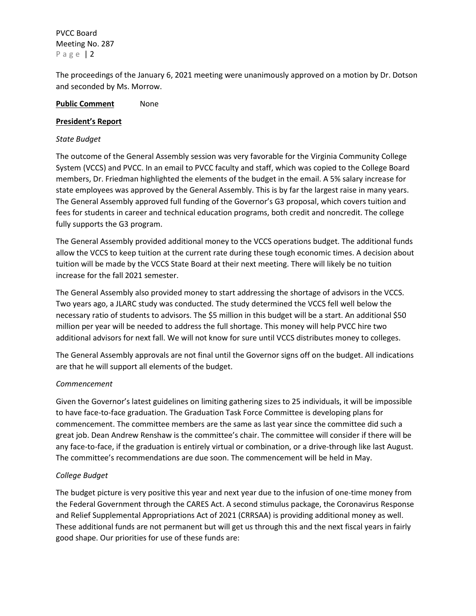The proceedings of the January 6, 2021 meeting were unanimously approved on a motion by Dr. Dotson and seconded by Ms. Morrow.

## **Public Comment** None

### **President's Report**

### *State Budget*

The outcome of the General Assembly session was very favorable for the Virginia Community College System (VCCS) and PVCC. In an email to PVCC faculty and staff, which was copied to the College Board members, Dr. Friedman highlighted the elements of the budget in the email. A 5% salary increase for state employees was approved by the General Assembly. This is by far the largest raise in many years. The General Assembly approved full funding of the Governor's G3 proposal, which covers tuition and fees for students in career and technical education programs, both credit and noncredit. The college fully supports the G3 program.

The General Assembly provided additional money to the VCCS operations budget. The additional funds allow the VCCS to keep tuition at the current rate during these tough economic times. A decision about tuition will be made by the VCCS State Board at their next meeting. There will likely be no tuition increase for the fall 2021 semester.

The General Assembly also provided money to start addressing the shortage of advisors in the VCCS. Two years ago, a JLARC study was conducted. The study determined the VCCS fell well below the necessary ratio of students to advisors. The \$5 million in this budget will be a start. An additional \$50 million per year will be needed to address the full shortage. This money will help PVCC hire two additional advisors for next fall. We will not know for sure until VCCS distributes money to colleges.

The General Assembly approvals are not final until the Governor signs off on the budget. All indications are that he will support all elements of the budget.

## *Commencement*

Given the Governor's latest guidelines on limiting gathering sizes to 25 individuals, it will be impossible to have face-to-face graduation. The Graduation Task Force Committee is developing plans for commencement. The committee members are the same as last year since the committee did such a great job. Dean Andrew Renshaw is the committee's chair. The committee will consider if there will be any face-to-face, if the graduation is entirely virtual or combination, or a drive-through like last August. The committee's recommendations are due soon. The commencement will be held in May.

## *College Budget*

The budget picture is very positive this year and next year due to the infusion of one-time money from the Federal Government through the CARES Act. A second stimulus package, the Coronavirus Response and Relief Supplemental Appropriations Act of 2021 (CRRSAA) is providing additional money as well. These additional funds are not permanent but will get us through this and the next fiscal years in fairly good shape. Our priorities for use of these funds are: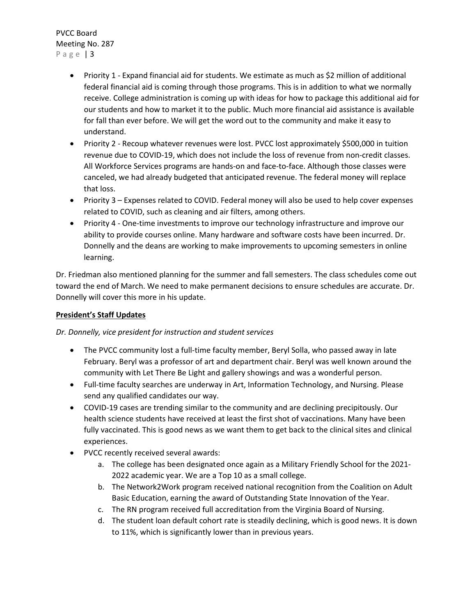- Priority 1 Expand financial aid for students. We estimate as much as \$2 million of additional federal financial aid is coming through those programs. This is in addition to what we normally receive. College administration is coming up with ideas for how to package this additional aid for our students and how to market it to the public. Much more financial aid assistance is available for fall than ever before. We will get the word out to the community and make it easy to understand.
- Priority 2 Recoup whatever revenues were lost. PVCC lost approximately \$500,000 in tuition revenue due to COVID-19, which does not include the loss of revenue from non-credit classes. All Workforce Services programs are hands-on and face-to-face. Although those classes were canceled, we had already budgeted that anticipated revenue. The federal money will replace that loss.
- Priority 3 Expenses related to COVID. Federal money will also be used to help cover expenses related to COVID, such as cleaning and air filters, among others.
- Priority 4 One-time investments to improve our technology infrastructure and improve our ability to provide courses online. Many hardware and software costs have been incurred. Dr. Donnelly and the deans are working to make improvements to upcoming semesters in online learning.

Dr. Friedman also mentioned planning for the summer and fall semesters. The class schedules come out toward the end of March. We need to make permanent decisions to ensure schedules are accurate. Dr. Donnelly will cover this more in his update.

# **President's Staff Updates**

*Dr. Donnelly, vice president for instruction and student services*

- The PVCC community lost a full-time faculty member, Beryl Solla, who passed away in late February. Beryl was a professor of art and department chair. Beryl was well known around the community with Let There Be Light and gallery showings and was a wonderful person.
- Full-time faculty searches are underway in Art, Information Technology, and Nursing. Please send any qualified candidates our way.
- COVID-19 cases are trending similar to the community and are declining precipitously. Our health science students have received at least the first shot of vaccinations. Many have been fully vaccinated. This is good news as we want them to get back to the clinical sites and clinical experiences.
- PVCC recently received several awards:
	- a. The college has been designated once again as a Military Friendly School for the 2021- 2022 academic year. We are a Top 10 as a small college.
	- b. The Network2Work program received national recognition from the Coalition on Adult Basic Education, earning the award of Outstanding State Innovation of the Year.
	- c. The RN program received full accreditation from the Virginia Board of Nursing.
	- d. The student loan default cohort rate is steadily declining, which is good news. It is down to 11%, which is significantly lower than in previous years.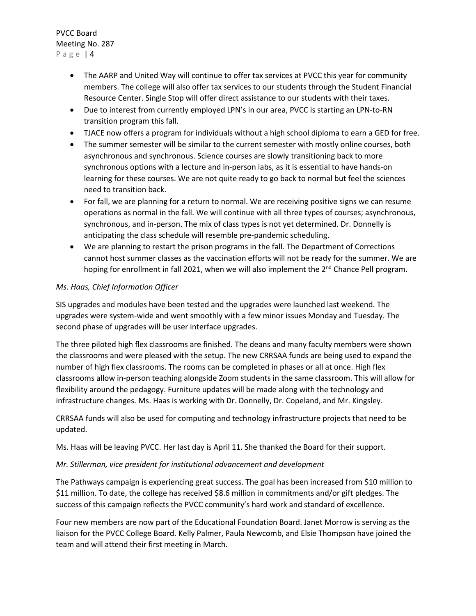- The AARP and United Way will continue to offer tax services at PVCC this year for community members. The college will also offer tax services to our students through the Student Financial Resource Center. Single Stop will offer direct assistance to our students with their taxes.
- Due to interest from currently employed LPN's in our area, PVCC is starting an LPN-to-RN transition program this fall.
- TJACE now offers a program for individuals without a high school diploma to earn a GED for free.
- The summer semester will be similar to the current semester with mostly online courses, both asynchronous and synchronous. Science courses are slowly transitioning back to more synchronous options with a lecture and in-person labs, as it is essential to have hands-on learning for these courses. We are not quite ready to go back to normal but feel the sciences need to transition back.
- For fall, we are planning for a return to normal. We are receiving positive signs we can resume operations as normal in the fall. We will continue with all three types of courses; asynchronous, synchronous, and in-person. The mix of class types is not yet determined. Dr. Donnelly is anticipating the class schedule will resemble pre-pandemic scheduling.
- We are planning to restart the prison programs in the fall. The Department of Corrections cannot host summer classes as the vaccination efforts will not be ready for the summer. We are hoping for enrollment in fall 2021, when we will also implement the 2<sup>nd</sup> Chance Pell program.

## *Ms. Haas, Chief Information Officer*

SIS upgrades and modules have been tested and the upgrades were launched last weekend. The upgrades were system-wide and went smoothly with a few minor issues Monday and Tuesday. The second phase of upgrades will be user interface upgrades.

The three piloted high flex classrooms are finished. The deans and many faculty members were shown the classrooms and were pleased with the setup. The new CRRSAA funds are being used to expand the number of high flex classrooms. The rooms can be completed in phases or all at once. High flex classrooms allow in-person teaching alongside Zoom students in the same classroom. This will allow for flexibility around the pedagogy. Furniture updates will be made along with the technology and infrastructure changes. Ms. Haas is working with Dr. Donnelly, Dr. Copeland, and Mr. Kingsley.

CRRSAA funds will also be used for computing and technology infrastructure projects that need to be updated.

Ms. Haas will be leaving PVCC. Her last day is April 11. She thanked the Board for their support.

## *Mr. Stillerman, vice president for institutional advancement and development*

The Pathways campaign is experiencing great success. The goal has been increased from \$10 million to \$11 million. To date, the college has received \$8.6 million in commitments and/or gift pledges. The success of this campaign reflects the PVCC community's hard work and standard of excellence.

Four new members are now part of the Educational Foundation Board. Janet Morrow is serving as the liaison for the PVCC College Board. Kelly Palmer, Paula Newcomb, and Elsie Thompson have joined the team and will attend their first meeting in March.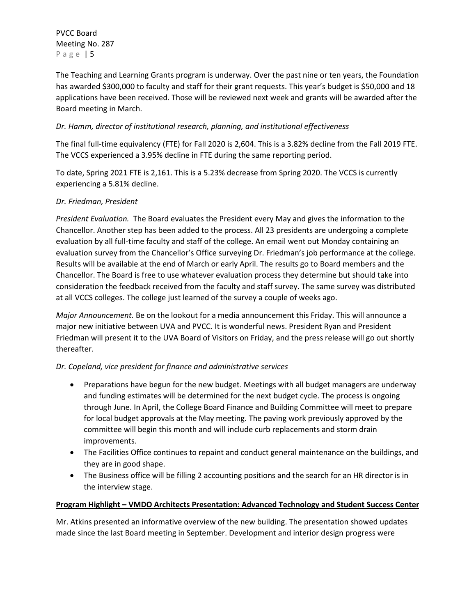The Teaching and Learning Grants program is underway. Over the past nine or ten years, the Foundation has awarded \$300,000 to faculty and staff for their grant requests. This year's budget is \$50,000 and 18 applications have been received. Those will be reviewed next week and grants will be awarded after the Board meeting in March.

# *Dr. Hamm, director of institutional research, planning, and institutional effectiveness*

The final full-time equivalency (FTE) for Fall 2020 is 2,604. This is a 3.82% decline from the Fall 2019 FTE. The VCCS experienced a 3.95% decline in FTE during the same reporting period.

To date, Spring 2021 FTE is 2,161. This is a 5.23% decrease from Spring 2020. The VCCS is currently experiencing a 5.81% decline.

# *Dr. Friedman, President*

*President Evaluation.* The Board evaluates the President every May and gives the information to the Chancellor. Another step has been added to the process. All 23 presidents are undergoing a complete evaluation by all full-time faculty and staff of the college. An email went out Monday containing an evaluation survey from the Chancellor's Office surveying Dr. Friedman's job performance at the college. Results will be available at the end of March or early April. The results go to Board members and the Chancellor. The Board is free to use whatever evaluation process they determine but should take into consideration the feedback received from the faculty and staff survey. The same survey was distributed at all VCCS colleges. The college just learned of the survey a couple of weeks ago.

*Major Announcement.* Be on the lookout for a media announcement this Friday. This will announce a major new initiative between UVA and PVCC. It is wonderful news. President Ryan and President Friedman will present it to the UVA Board of Visitors on Friday, and the press release will go out shortly thereafter.

# *Dr. Copeland, vice president for finance and administrative services*

- Preparations have begun for the new budget. Meetings with all budget managers are underway and funding estimates will be determined for the next budget cycle. The process is ongoing through June. In April, the College Board Finance and Building Committee will meet to prepare for local budget approvals at the May meeting. The paving work previously approved by the committee will begin this month and will include curb replacements and storm drain improvements.
- The Facilities Office continues to repaint and conduct general maintenance on the buildings, and they are in good shape.
- The Business office will be filling 2 accounting positions and the search for an HR director is in the interview stage.

# **Program Highlight – VMDO Architects Presentation: Advanced Technology and Student Success Center**

Mr. Atkins presented an informative overview of the new building. The presentation showed updates made since the last Board meeting in September. Development and interior design progress were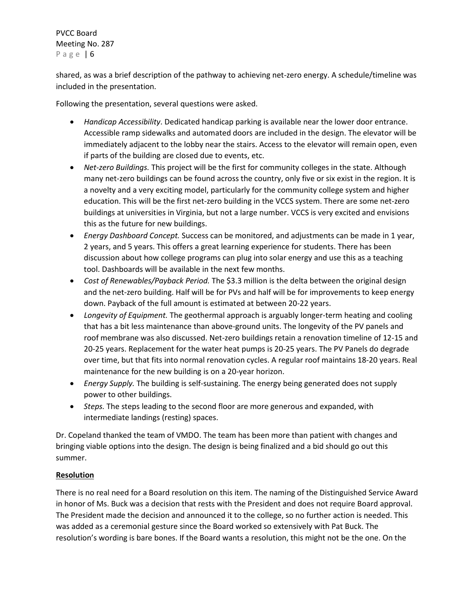shared, as was a brief description of the pathway to achieving net-zero energy. A schedule/timeline was included in the presentation.

Following the presentation, several questions were asked.

- *Handicap Accessibility*. Dedicated handicap parking is available near the lower door entrance. Accessible ramp sidewalks and automated doors are included in the design. The elevator will be immediately adjacent to the lobby near the stairs. Access to the elevator will remain open, even if parts of the building are closed due to events, etc.
- *Net-zero Buildings.* This project will be the first for community colleges in the state. Although many net-zero buildings can be found across the country, only five or six exist in the region. It is a novelty and a very exciting model, particularly for the community college system and higher education. This will be the first net-zero building in the VCCS system. There are some net-zero buildings at universities in Virginia, but not a large number. VCCS is very excited and envisions this as the future for new buildings.
- *Energy Dashboard Concept.* Success can be monitored, and adjustments can be made in 1 year, 2 years, and 5 years. This offers a great learning experience for students. There has been discussion about how college programs can plug into solar energy and use this as a teaching tool. Dashboards will be available in the next few months.
- *Cost of Renewables/Payback Period.* The \$3.3 million is the delta between the original design and the net-zero building. Half will be for PVs and half will be for improvements to keep energy down. Payback of the full amount is estimated at between 20-22 years.
- *Longevity of Equipment.* The geothermal approach is arguably longer-term heating and cooling that has a bit less maintenance than above-ground units. The longevity of the PV panels and roof membrane was also discussed. Net-zero buildings retain a renovation timeline of 12-15 and 20-25 years. Replacement for the water heat pumps is 20-25 years. The PV Panels do degrade over time, but that fits into normal renovation cycles. A regular roof maintains 18-20 years. Real maintenance for the new building is on a 20-year horizon.
- *Energy Supply.* The building is self-sustaining. The energy being generated does not supply power to other buildings.
- *Steps.* The steps leading to the second floor are more generous and expanded, with intermediate landings (resting) spaces.

Dr. Copeland thanked the team of VMDO. The team has been more than patient with changes and bringing viable options into the design. The design is being finalized and a bid should go out this summer.

# **Resolution**

There is no real need for a Board resolution on this item. The naming of the Distinguished Service Award in honor of Ms. Buck was a decision that rests with the President and does not require Board approval. The President made the decision and announced it to the college, so no further action is needed. This was added as a ceremonial gesture since the Board worked so extensively with Pat Buck. The resolution's wording is bare bones. If the Board wants a resolution, this might not be the one. On the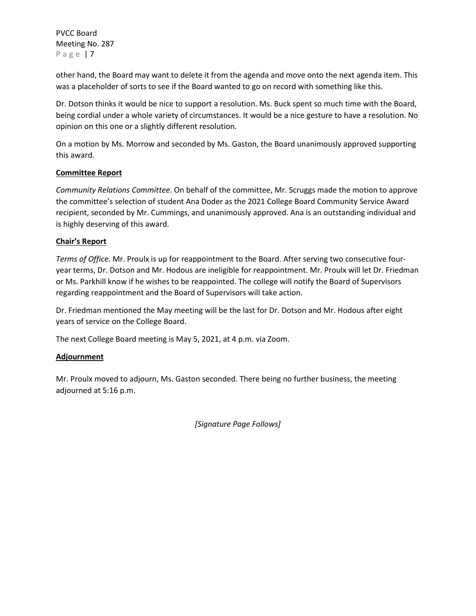other hand, the Board may want to delete it from the agenda and move onto the next agenda item. This was a placeholder of sorts to see if the Board wanted to go on record with something like this.

Dr. Dotson thinks it would be nice to support a resolution. Ms. Buck spent so much time with the Board, being cordial under a whole variety of circumstances. It would be a nice gesture to have a resolution. No opinion on this one or a slightly different resolution.

On a motion by Ms. Morrow and seconded by Ms. Gaston, the Board unanimously approved supporting this award.

## **Committee Report**

*Community Relations Committee*. On behalf of the committee, Mr. Scruggs made the motion to approve the committee's selection of student Ana Doder as the 2021 College Board Community Service Award recipient, seconded by Mr. Cummings, and unanimously approved. Ana is an outstanding individual and is highly deserving of this award.

## **Chair's Report**

*Terms of Office.* Mr. Proulx is up for reappointment to the Board. After serving two consecutive fouryear terms, Dr. Dotson and Mr. Hodous are ineligible for reappointment. Mr. Proulx will let Dr. Friedman or Ms. Parkhill know if he wishes to be reappointed. The college will notify the Board of Supervisors regarding reappointment and the Board of Supervisors will take action.

Dr. Friedman mentioned the May meeting will be the last for Dr. Dotson and Mr. Hodous after eight years of service on the College Board.

The next College Board meeting is May 5, 2021, at 4 p.m. via Zoom.

## **Adjournment**

Mr. Proulx moved to adjourn, Ms. Gaston seconded. There being no further business, the meeting adjourned at 5:16 p.m.

*[Signature Page Follows]*